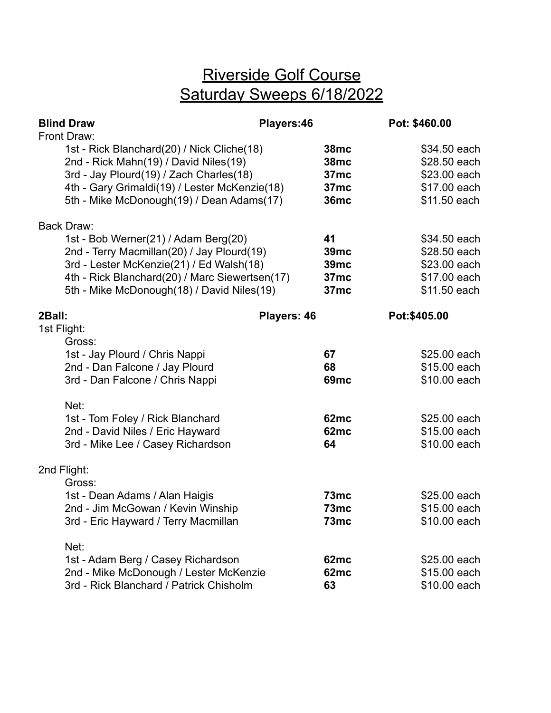## Riverside Golf Course Saturday Sweeps 6/18/2022

|             | <b>Blind Draw</b>                                                                                                                                                                                                                                   | Players:46  |                                                                       | Pot: \$460.00 |                                                                              |
|-------------|-----------------------------------------------------------------------------------------------------------------------------------------------------------------------------------------------------------------------------------------------------|-------------|-----------------------------------------------------------------------|---------------|------------------------------------------------------------------------------|
|             | Front Draw:<br>1st - Rick Blanchard(20) / Nick Cliche(18)<br>2nd - Rick Mahn(19) / David Niles(19)<br>3rd - Jay Plourd(19) / Zach Charles(18)<br>4th - Gary Grimaldi(19) / Lester McKenzie(18)<br>5th - Mike McDonough(19) / Dean Adams(17)         |             | <b>38mc</b><br><b>38mc</b><br>37 <sub>mc</sub><br>37mc<br><b>36mc</b> |               | \$34.50 each<br>\$28.50 each<br>\$23.00 each<br>\$17.00 each<br>\$11.50 each |
|             | <b>Back Draw:</b><br>1st - Bob Werner(21) / Adam Berg(20)<br>2nd - Terry Macmillan(20) / Jay Plourd(19)<br>3rd - Lester McKenzie(21) / Ed Walsh(18)<br>4th - Rick Blanchard(20) / Marc Siewertsen(17)<br>5th - Mike McDonough(18) / David Niles(19) |             | 41<br>39 <sub>mc</sub><br><b>39mc</b><br>37mc<br>37 <sub>mc</sub>     |               | \$34.50 each<br>\$28.50 each<br>\$23.00 each<br>\$17.00 each<br>\$11.50 each |
| 2Ball:      |                                                                                                                                                                                                                                                     | Players: 46 |                                                                       | Pot:\$405.00  |                                                                              |
| 1st Flight: | Gross:<br>1st - Jay Plourd / Chris Nappi<br>2nd - Dan Falcone / Jay Plourd<br>3rd - Dan Falcone / Chris Nappi<br>Net:<br>1st - Tom Foley / Rick Blanchard<br>2nd - David Niles / Eric Hayward                                                       |             | 67<br>68<br><b>69mc</b><br>62mc<br>62mc                               |               | \$25.00 each<br>\$15.00 each<br>\$10.00 each<br>\$25.00 each<br>\$15.00 each |
|             | 3rd - Mike Lee / Casey Richardson                                                                                                                                                                                                                   |             | 64                                                                    |               | \$10.00 each                                                                 |
|             | 2nd Flight:<br>Gross:<br>1st - Dean Adams / Alan Haigis<br>2nd - Jim McGowan / Kevin Winship<br>3rd - Eric Hayward / Terry Macmillan                                                                                                                |             | 73mc<br>73mc<br>73mc                                                  |               | \$25.00 each<br>\$15.00 each<br>\$10.00 each                                 |
|             | Net:<br>1st - Adam Berg / Casey Richardson<br>2nd - Mike McDonough / Lester McKenzie<br>3rd - Rick Blanchard / Patrick Chisholm                                                                                                                     |             | 62mc<br>62mc<br>63                                                    |               | \$25.00 each<br>\$15.00 each<br>\$10.00 each                                 |